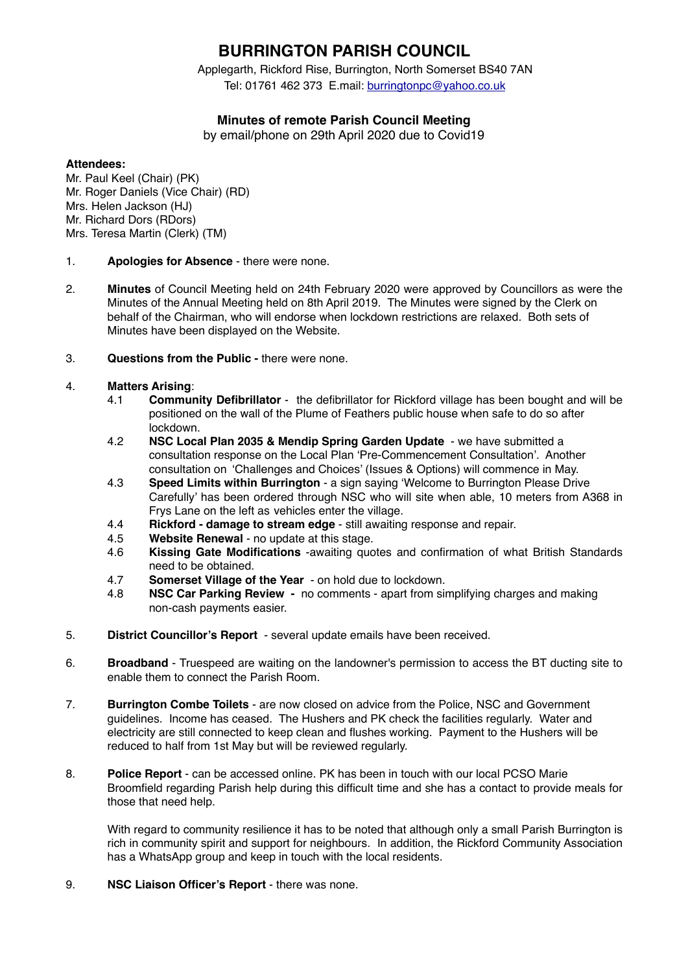# **BURRINGTON PARISH COUNCIL**

Applegarth, Rickford Rise, Burrington, North Somerset BS40 7AN Tel: 01761 462 373 E.mail: [burringtonpc@yahoo.co.uk](mailto:burringtonpc@yahoo.co.uk)

# **Minutes of remote Parish Council Meeting**

by email/phone on 29th April 2020 due to Covid19

### **Attendees:**

Mr. Paul Keel (Chair) (PK) Mr. Roger Daniels (Vice Chair) (RD) Mrs. Helen Jackson (HJ) Mr. Richard Dors (RDors) Mrs. Teresa Martin (Clerk) (TM)

### 1. **Apologies for Absence** - there were none.

- 2. **Minutes** of Council Meeting held on 24th February 2020 were approved by Councillors as were the Minutes of the Annual Meeting held on 8th April 2019. The Minutes were signed by the Clerk on behalf of the Chairman, who will endorse when lockdown restrictions are relaxed. Both sets of Minutes have been displayed on the Website.
- 3. **Questions from the Public** there were none.

## 4. **Matters Arising**:

- 4.1 **Community Defibrillator** the defibrillator for Rickford village has been bought and will be positioned on the wall of the Plume of Feathers public house when safe to do so after lockdown.
- 4.2 **NSC Local Plan 2035 & Mendip Spring Garden Update**  we have submitted a consultation response on the Local Plan 'Pre-Commencement Consultation'. Another consultation on 'Challenges and Choices' (Issues & Options) will commence in May.
- 4.3 **Speed Limits within Burrington** a sign saying 'Welcome to Burrington Please Drive Carefully' has been ordered through NSC who will site when able, 10 meters from A368 in Frys Lane on the left as vehicles enter the village.
- 4.4 **Rickford damage to stream edge** still awaiting response and repair.
- 4.5 **Website Renewal** no update at this stage.
- 4.6 **Kissing Gate Modifications** -awaiting quotes and confirmation of what British Standards need to be obtained.
- 4.7 **Somerset Village of the Year**  on hold due to lockdown.
- 4.8 **NSC Car Parking Review** no comments apart from simplifying charges and making non-cash payments easier.
- 5. **District Councillor's Report** several update emails have been received.
- 6. **Broadband** Truespeed are waiting on the landowner's permission to access the BT ducting site to enable them to connect the Parish Room.
- 7. **Burrington Combe Toilets** are now closed on advice from the Police, NSC and Government guidelines. Income has ceased. The Hushers and PK check the facilities regularly. Water and electricity are still connected to keep clean and flushes working. Payment to the Hushers will be reduced to half from 1st May but will be reviewed regularly.
- 8. **Police Report** can be accessed online. PK has been in touch with our local PCSO Marie Broomfield regarding Parish help during this difficult time and she has a contact to provide meals for those that need help.

With regard to community resilience it has to be noted that although only a small Parish Burrington is rich in community spirit and support for neighbours. In addition, the Rickford Community Association has a WhatsApp group and keep in touch with the local residents.

9. **NSC Liaison Officer's Report** - there was none.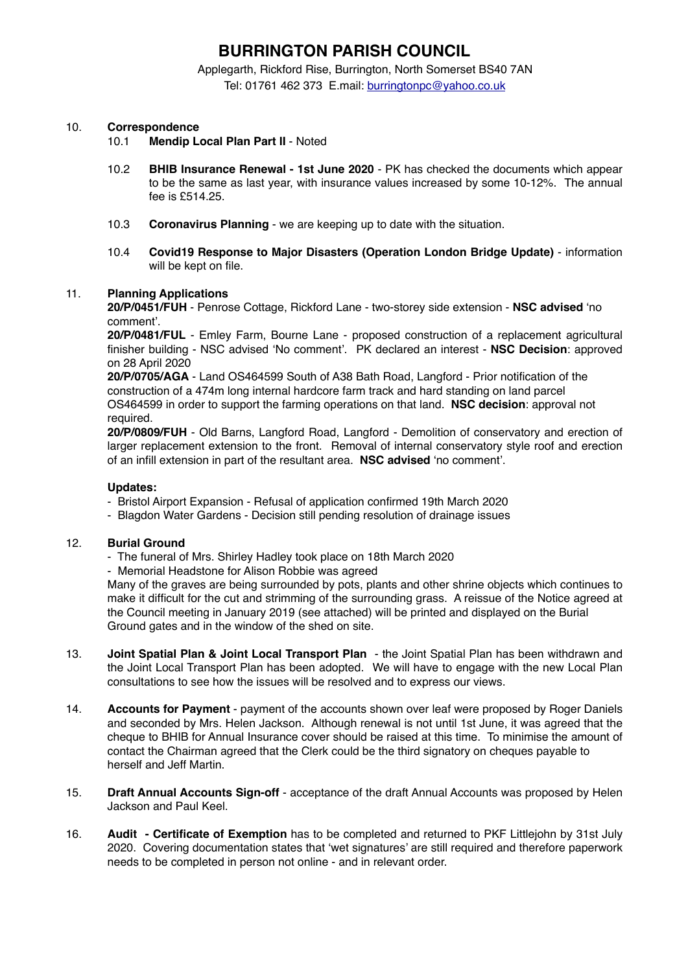# **BURRINGTON PARISH COUNCIL**

Applegarth, Rickford Rise, Burrington, North Somerset BS40 7AN

Tel: 01761 462 373 E.mail: [burringtonpc@yahoo.co.uk](mailto:burringtonpc@yahoo.co.uk)

### 10. **Correspondence**

- 10.1 **Mendip Local Plan Part II** Noted
- 10.2 **BHIB Insurance Renewal 1st June 2020**  PK has checked the documents which appear to be the same as last year, with insurance values increased by some 10-12%. The annual fee is £514.25.
- 10.3 **Coronavirus Planning** we are keeping up to date with the situation.
- 10.4 **Covid19 Response to Major Disasters (Operation London Bridge Update)** information will be kept on file.

#### 11. **Planning Applications**

**20/P/0451/FUH** - Penrose Cottage, Rickford Lane - two-storey side extension - **NSC advised** 'no comment'.

**20/P/0481/FUL** - Emley Farm, Bourne Lane - proposed construction of a replacement agricultural finisher building - NSC advised 'No comment'. PK declared an interest - **NSC Decision**: approved on 28 April 2020

**20/P/0705/AGA** - Land OS464599 South of A38 Bath Road, Langford - Prior notification of the construction of a 474m long internal hardcore farm track and hard standing on land parcel OS464599 in order to support the farming operations on that land. **NSC decision**: approval not required.

**20/P/0809/FUH** - Old Barns, Langford Road, Langford - Demolition of conservatory and erection of larger replacement extension to the front. Removal of internal conservatory style roof and erection of an infill extension in part of the resultant area. **NSC advised** 'no comment'.

#### **Updates:**

- Bristol Airport Expansion Refusal of application confirmed 19th March 2020
- Blagdon Water Gardens Decision still pending resolution of drainage issues

#### 12. **Burial Ground**

- The funeral of Mrs. Shirley Hadley took place on 18th March 2020
- Memorial Headstone for Alison Robbie was agreed

Many of the graves are being surrounded by pots, plants and other shrine objects which continues to make it difficult for the cut and strimming of the surrounding grass. A reissue of the Notice agreed at the Council meeting in January 2019 (see attached) will be printed and displayed on the Burial Ground gates and in the window of the shed on site.

- 13. **Joint Spatial Plan & Joint Local Transport Plan** the Joint Spatial Plan has been withdrawn and the Joint Local Transport Plan has been adopted. We will have to engage with the new Local Plan consultations to see how the issues will be resolved and to express our views.
- 14. **Accounts for Payment** payment of the accounts shown over leaf were proposed by Roger Daniels and seconded by Mrs. Helen Jackson. Although renewal is not until 1st June, it was agreed that the cheque to BHIB for Annual Insurance cover should be raised at this time. To minimise the amount of contact the Chairman agreed that the Clerk could be the third signatory on cheques payable to herself and Jeff Martin.
- 15. **Draft Annual Accounts Sign-off** acceptance of the draft Annual Accounts was proposed by Helen Jackson and Paul Keel.
- 16. **Audit Certificate of Exemption** has to be completed and returned to PKF Littlejohn by 31st July 2020. Covering documentation states that 'wet signatures' are still required and therefore paperwork needs to be completed in person not online - and in relevant order.